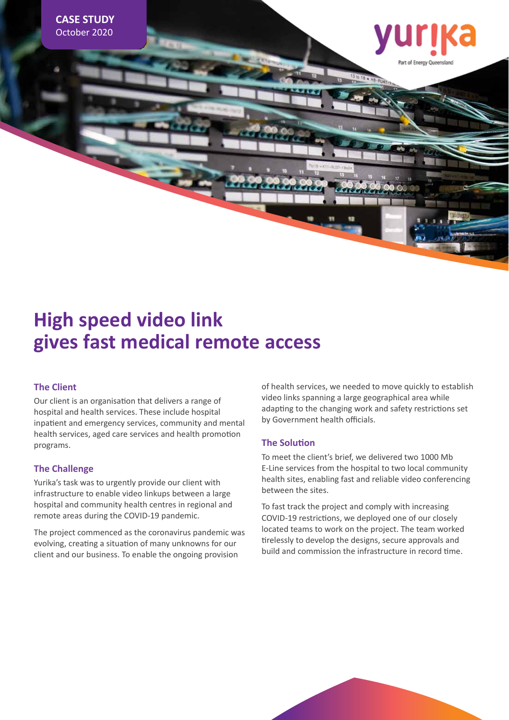

# **High speed video link gives fast medical remote access**

### **The Client**

Our client is an organisation that delivers a range of hospital and health services. These include hospital inpatient and emergency services, community and mental health services, aged care services and health promotion programs.

#### **The Challenge**

Yurika's task was to urgently provide our client with infrastructure to enable video linkups between a large hospital and community health centres in regional and remote areas during the COVID-19 pandemic.

The project commenced as the coronavirus pandemic was evolving, creating a situation of many unknowns for our client and our business. To enable the ongoing provision

of health services, we needed to move quickly to establish video links spanning a large geographical area while adapting to the changing work and safety restrictions set by Government health officials.

#### **The Solution**

To meet the client's brief, we delivered two 1000 Mb E-Line services from the hospital to two local community health sites, enabling fast and reliable video conferencing between the sites.

To fast track the project and comply with increasing COVID-19 restrictions, we deployed one of our closely located teams to work on the project. The team worked tirelessly to develop the designs, secure approvals and build and commission the infrastructure in record time.